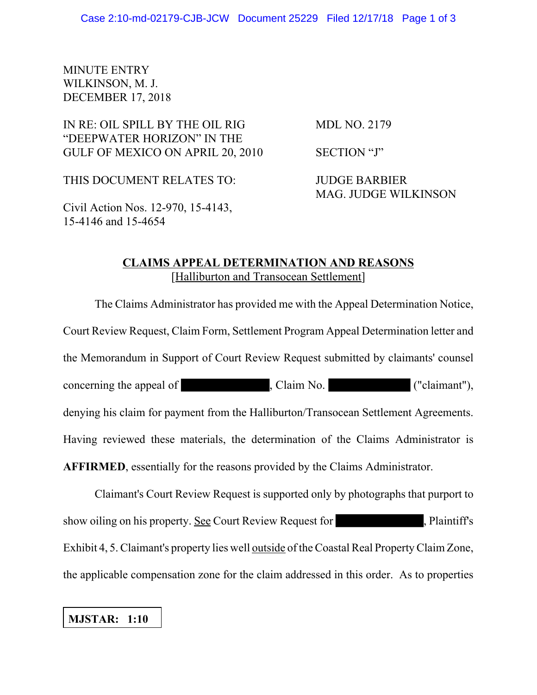## MINUTE ENTRY WILKINSON, M. J. DECEMBER 17, 2018

## IN RE: OIL SPILL BY THE OIL RIG MDL NO. 2179 "DEEPWATER HORIZON" IN THE GULF OF MEXICO ON APRIL 20, 2010 SECTION "J"

THIS DOCUMENT RELATES TO: JUDGE BARBIER

MAG. JUDGE WILKINSON

Civil Action Nos. 12-970, 15-4143, 15-4146 and 15-4654

## **CLAIMS APPEAL DETERMINATION AND REASONS** [Halliburton and Transocean Settlement]

The Claims Administrator has provided me with the Appeal Determination Notice, Court Review Request, Claim Form, Settlement Program Appeal Determination letter and the Memorandum in Support of Court Review Request submitted by claimants' counsel concerning the appeal of , Claim No. ("claimant"), denying his claim for payment from the Halliburton/Transocean Settlement Agreements. Having reviewed these materials, the determination of the Claims Administrator is **AFFIRMED**, essentially for the reasons provided by the Claims Administrator.

Claimant's Court Review Request is supported only by photographs that purport to show oiling on his property. See Court Review Request for , Plaintiff's Exhibit 4, 5. Claimant's property lies well outside of the Coastal Real Property Claim Zone, the applicable compensation zone for the claim addressed in this order. As to properties

## **MJSTAR: 1:10**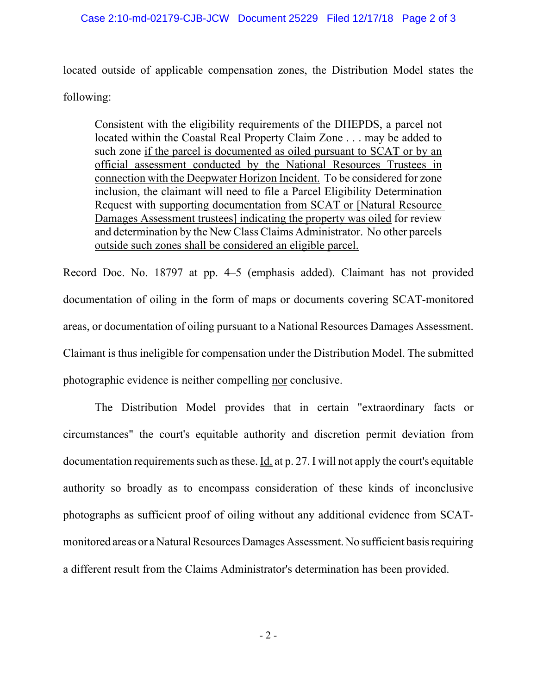located outside of applicable compensation zones, the Distribution Model states the following:

Consistent with the eligibility requirements of the DHEPDS, a parcel not located within the Coastal Real Property Claim Zone . . . may be added to such zone if the parcel is documented as oiled pursuant to SCAT or by an official assessment conducted by the National Resources Trustees in connection with the Deepwater Horizon Incident. To be considered for zone inclusion, the claimant will need to file a Parcel Eligibility Determination Request with supporting documentation from SCAT or [Natural Resource Damages Assessment trustees] indicating the property was oiled for review and determination by the New Class Claims Administrator. No other parcels outside such zones shall be considered an eligible parcel.

Record Doc. No. 18797 at pp. 4–5 (emphasis added). Claimant has not provided documentation of oiling in the form of maps or documents covering SCAT-monitored areas, or documentation of oiling pursuant to a National Resources Damages Assessment. Claimant is thus ineligible for compensation under the Distribution Model. The submitted photographic evidence is neither compelling nor conclusive.

The Distribution Model provides that in certain "extraordinary facts or circumstances" the court's equitable authority and discretion permit deviation from documentation requirements such as these. Id. at p. 27. I will not apply the court's equitable authority so broadly as to encompass consideration of these kinds of inconclusive photographs as sufficient proof of oiling without any additional evidence from SCATmonitored areas or a Natural Resources Damages Assessment. No sufficient basis requiring a different result from the Claims Administrator's determination has been provided.